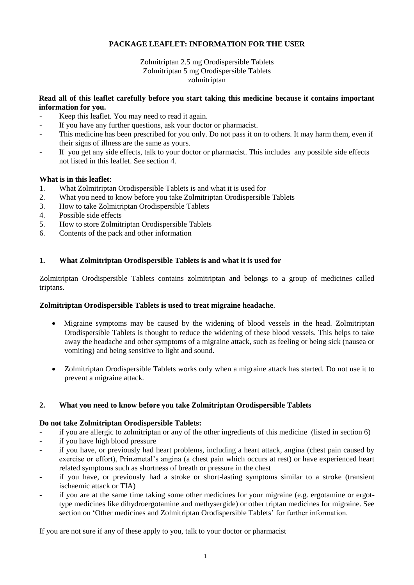# **PACKAGE LEAFLET: INFORMATION FOR THE USER**

# Zolmitriptan 2.5 mg Orodispersible Tablets Zolmitriptan 5 mg Orodispersible Tablets zolmitriptan

## **Read all of this leaflet carefully before you start taking this medicine because it contains important information for you.**

- Keep this leaflet. You may need to read it again.
- If you have any further questions, ask your doctor or pharmacist.
- This medicine has been prescribed for you only. Do not pass it on to others. It may harm them, even if their signs of illness are the same as yours.
- If you get any side effects, talk to your doctor or pharmacist. This includes any possible side effects not listed in this leaflet. See section 4.

# **What is in this leaflet**:

- 1. What Zolmitriptan Orodispersible Tablets is and what it is used for
- 2. What you need to know before you take Zolmitriptan Orodispersible Tablets
- 3. How to take Zolmitriptan Orodispersible Tablets
- 4. Possible side effects
- 5. How to store Zolmitriptan Orodispersible Tablets
- 6. Contents of the pack and other information

## **1. What Zolmitriptan Orodispersible Tablets is and what it is used for**

Zolmitriptan Orodispersible Tablets contains zolmitriptan and belongs to a group of medicines called triptans.

#### **Zolmitriptan Orodispersible Tablets is used to treat migraine headache**.

- Migraine symptoms may be caused by the widening of blood vessels in the head. Zolmitriptan Orodispersible Tablets is thought to reduce the widening of these blood vessels. This helps to take away the headache and other symptoms of a migraine attack, such as feeling or being sick (nausea or vomiting) and being sensitive to light and sound.
- Zolmitriptan Orodispersible Tablets works only when a migraine attack has started. Do not use it to prevent a migraine attack.

#### **2. What you need to know before you take Zolmitriptan Orodispersible Tablets**

#### **Do not take Zolmitriptan Orodispersible Tablets:**

- if you are allergic to zolmitriptan or any of the other ingredients of this medicine (listed in section 6)
- if you have high blood pressure
- if you have, or previously had heart problems, including a heart attack, angina (chest pain caused by exercise or effort), Prinzmetal's angina (a chest pain which occurs at rest) or have experienced heart related symptoms such as shortness of breath or pressure in the chest
- if you have, or previously had a stroke or short-lasting symptoms similar to a stroke (transient ischaemic attack or TIA)
- if you are at the same time taking some other medicines for your migraine (e.g. ergotamine or ergottype medicines like dihydroergotamine and methysergide) or other triptan medicines for migraine. See section on 'Other medicines and Zolmitriptan Orodispersible Tablets' for further information.

If you are not sure if any of these apply to you, talk to your doctor or pharmacist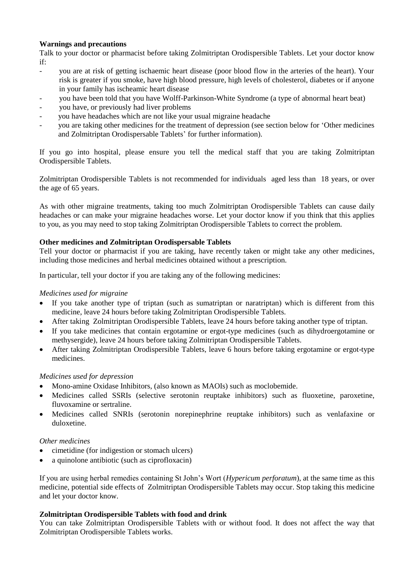## **Warnings and precautions**

Talk to your doctor or pharmacist before taking Zolmitriptan Orodispersible Tablets. Let your doctor know if:

- you are at risk of getting ischaemic heart disease (poor blood flow in the arteries of the heart). Your risk is greater if you smoke, have high blood pressure, high levels of cholesterol, diabetes or if anyone in your family has ischeamic heart disease
- you have been told that you have Wolff-Parkinson-White Syndrome (a type of abnormal heart beat)
- you have, or previously had liver problems
- you have headaches which are not like your usual migraine headache
- you are taking other medicines for the treatment of depression (see section below for 'Other medicines and Zolmitriptan Orodispersable Tablets' for further information).

If you go into hospital, please ensure you tell the medical staff that you are taking Zolmitriptan Orodispersible Tablets.

Zolmitriptan Orodispersible Tablets is not recommended for individuals aged less than 18 years, or over the age of 65 years.

As with other migraine treatments, taking too much Zolmitriptan Orodispersible Tablets can cause daily headaches or can make your migraine headaches worse. Let your doctor know if you think that this applies to you, as you may need to stop taking Zolmitriptan Orodispersible Tablets to correct the problem.

## **Other medicines and Zolmitriptan Orodispersable Tablets**

Tell your doctor or pharmacist if you are taking, have recently taken or might take any other medicines, including those medicines and herbal medicines obtained without a prescription.

In particular, tell your doctor if you are taking any of the following medicines:

### *Medicines used for migraine*

- If you take another type of triptan (such as sumatriptan or naratriptan) which is different from this medicine, leave 24 hours before taking Zolmitriptan Orodispersible Tablets.
- After taking Zolmitriptan Orodispersible Tablets, leave 24 hours before taking another type of triptan.
- If you take medicines that contain ergotamine or ergot-type medicines (such as dihydroergotamine or methysergide), leave 24 hours before taking Zolmitriptan Orodispersible Tablets.
- After taking Zolmitriptan Orodispersible Tablets, leave 6 hours before taking ergotamine or ergot-type medicines.

# *Medicines used for depression*

- Mono-amine Oxidase Inhibitors, (also known as MAOIs) such as moclobemide.
- Medicines called SSRIs (selective serotonin reuptake inhibitors) such as fluoxetine, paroxetine, fluvoxamine or sertraline.
- Medicines called SNRIs (serotonin norepinephrine reuptake inhibitors) such as venlafaxine or duloxetine.

#### *Other medicines*

- cimetidine (for indigestion or stomach ulcers)
- a quinolone antibiotic (such as ciprofloxacin)

If you are using herbal remedies containing St John's Wort (*Hypericum perforatum*), at the same time as this medicine, potential side effects of Zolmitriptan Orodispersible Tablets may occur. Stop taking this medicine and let your doctor know.

#### **Zolmitriptan Orodispersible Tablets with food and drink**

You can take Zolmitriptan Orodispersible Tablets with or without food. It does not affect the way that Zolmitriptan Orodispersible Tablets works.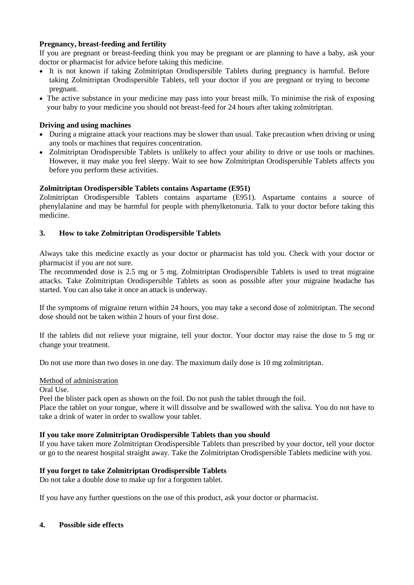# **Pregnancy, breast-feeding and fertility**

If you are pregnant or breast-feeding think you may be pregnant or are planning to have a baby, ask your doctor or pharmacist for advice before taking this medicine.

- It is not known if taking Zolmitriptan Orodispersible Tablets during pregnancy is harmful. Before taking Zolmitriptan Orodispersible Tablets, tell your doctor if you are pregnant or trying to become pregnant.
- The active substance in your medicine may pass into your breast milk. To minimise the risk of exposing your baby to your medicine you should not breast-feed for 24 hours after taking zolmitriptan.

## **Driving and using machines**

- During a migraine attack your reactions may be slower than usual. Take precaution when driving or using any tools or machines that requires concentration.
- Zolmitriptan Orodispersible Tablets is unlikely to affect your ability to drive or use tools or machines. However, it may make you feel sleepy. Wait to see how Zolmitriptan Orodispersible Tablets affects you before you perform these activities.

## **Zolmitriptan Orodispersible Tablets contains Aspartame (E951)**

Zolmitriptan Orodispersible Tablets contains aspartame (E951). Aspartame contains a source of phenylalanine and may be harmful for people with phenylketonuria. Talk to your doctor before taking this medicine.

## **3. How to take Zolmitriptan Orodispersible Tablets**

Always take this medicine exactly as your doctor or pharmacist has told you. Check with your doctor or pharmacist if you are not sure.

The recommended dose is 2.5 mg or 5 mg. Zolmitriptan Orodispersible Tablets is used to treat migraine attacks. Take Zolmitriptan Orodispersible Tablets as soon as possible after your migraine headache has started. You can also take it once an attack is underway.

If the symptoms of migraine return within 24 hours, you may take a second dose of zolmitriptan. The second dose should not be taken within 2 hours of your first dose.

If the tablets did not relieve your migraine, tell your doctor. Your doctor may raise the dose to 5 mg or change your treatment.

Do not use more than two doses in one day. The maximum daily dose is 10 mg zolmitriptan.

#### Method of administration

Oral Use.

Peel the blister pack open as shown on the foil. Do not push the tablet through the foil.

Place the tablet on your tongue, where it will dissolve and be swallowed with the saliva. You do not have to take a drink of water in order to swallow your tablet.

#### **If you take more Zolmitriptan Orodispersible Tablets than you should**

If you have taken more Zolmitriptan Orodispersible Tablets than prescribed by your doctor, tell your doctor or go to the nearest hospital straight away. Take the Zolmitriptan Orodispersible Tablets medicine with you.

#### **If you forget to take Zolmitriptan Orodispersible Tablets**

Do not take a double dose to make up for a forgotten tablet.

If you have any further questions on the use of this product, ask your doctor or pharmacist.

#### **4. Possible side effects**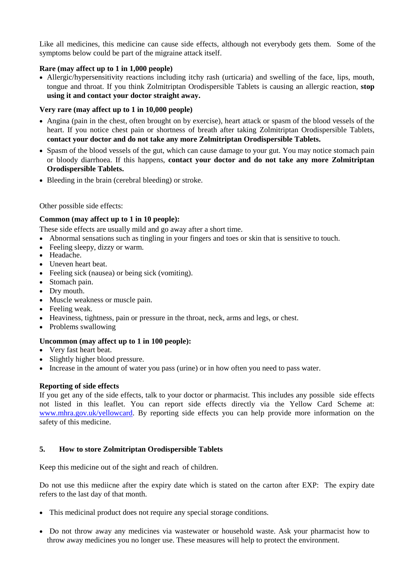Like all medicines, this medicine can cause side effects, although not everybody gets them. Some of the symptoms below could be part of the migraine attack itself.

# **Rare (may affect up to 1 in 1,000 people)**

 Allergic/hypersensitivity reactions including itchy rash (urticaria) and swelling of the face, lips, mouth, tongue and throat. If you think Zolmitriptan Orodispersible Tablets is causing an allergic reaction, **stop using it and contact your doctor straight away.**

## **Very rare (may affect up to 1 in 10,000 people)**

- Angina (pain in the chest, often brought on by exercise), heart attack or spasm of the blood vessels of the heart. If you notice chest pain or shortness of breath after taking Zolmitriptan Orodispersible Tablets, **contact your doctor and do not take any more Zolmitriptan Orodispersible Tablets.**
- Spasm of the blood vessels of the gut, which can cause damage to your gut. You may notice stomach pain or bloody diarrhoea. If this happens, **contact your doctor and do not take any more Zolmitriptan Orodispersible Tablets.**
- Bleeding in the brain (cerebral bleeding) or stroke.

#### Other possible side effects:

## **Common (may affect up to 1 in 10 people):**

These side effects are usually mild and go away after a short time.

- Abnormal sensations such as tingling in your fingers and toes or skin that is sensitive to touch.
- Feeling sleepy, dizzy or warm.
- Headache.
- Uneven heart beat.
- Feeling sick (nausea) or being sick (vomiting).
- Stomach pain.
- Dry mouth.
- Muscle weakness or muscle pain.
- Feeling weak.
- Heaviness, tightness, pain or pressure in the throat, neck, arms and legs, or chest.
- Problems swallowing

# **Uncommon (may affect up to 1 in 100 people):**

- Very fast heart beat.
- Slightly higher blood pressure.
- Increase in the amount of water you pass (urine) or in how often you need to pass water.

#### **Reporting of side effects**

If you get any of the side effects, talk to your doctor or pharmacist. This includes any possible side effects not listed in this leaflet. You can report side effects directly via the Yellow Card Scheme at: [www.mhra.gov.uk/yellowcard.](http://www.mhra.gov.uk/yellowcard) By reporting side effects you can help provide more information on the safety of this medicine.

#### **5. How to store Zolmitriptan Orodispersible Tablets**

Keep this medicine out of the sight and reach of children.

Do not use this mediicne after the expiry date which is stated on the carton after EXP: The expiry date refers to the last day of that month.

- This medicinal product does not require any special storage conditions.
- Do not throw away any medicines via wastewater or household waste. Ask your pharmacist how to throw away medicines you no longer use. These measures will help to protect the environment.